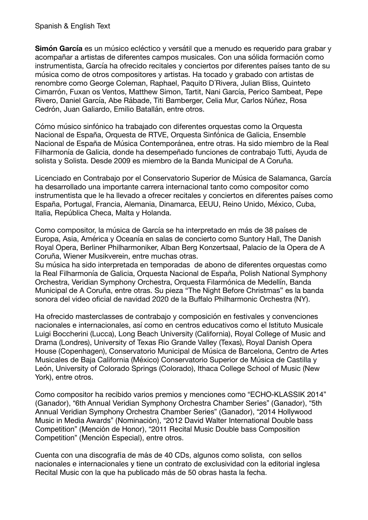## Spanish & English Text

**Simón García** es un músico ecléctico y versátil que a menudo es requerido para grabar y acompañar a artistas de diferentes campos musicales. Con una sólida formación como instrumentista, García ha ofrecido recitales y conciertos por diferentes países tanto de su música como de otros compositores y artistas. Ha tocado y grabado con artistas de renombre como George Coleman, Raphael, Paquito D´Rivera, Julian Bliss, Quinteto Cimarrón, Fuxan os Ventos, Matthew Simon, Tartit, Nani García, Perico Sambeat, Pepe Rivero, Daniel García, Abe Rábade, Titi Bamberger, Celia Mur, Carlos Núñez, Rosa Cedrón, Juan Galiardo, Emilio Batallán, entre otros.

Cómo músico sinfónico ha trabajado con diferentes orquestas como la Orquesta Nacional de España, Orquesta de RTVE, Orquesta Sinfónica de Galicia, Ensemble Nacional de España de Música Contemporánea, entre otras. Ha sido miembro de la Real Filharmonía de Galicia, donde ha desempeñado funciones de contrabajo Tutti, Ayuda de solista y Solista. Desde 2009 es miembro de la Banda Municipal de A Coruña.

Licenciado en Contrabajo por el Conservatorio Superior de Música de Salamanca, García ha desarrollado una importante carrera internacional tanto como compositor como instrumentista que le ha llevado a ofrecer recitales y conciertos en diferentes países como España, Portugal, Francia, Alemania, Dinamarca, EEUU, Reino Unido, México, Cuba, Italia, República Checa, Malta y Holanda.

Como compositor, la música de García se ha interpretado en más de 38 países de Europa, Asia, América y Oceanía en salas de concierto como Suntory Hall, The Danish Royal Opera, Berliner Philharmoniker, Alban Berg Konzertsaal, Palacio de la Opera de A Coruña, Wiener Musikverein, entre muchas otras.

Su música ha sido interpretada en temporadas de abono de diferentes orquestas como la Real Filharmonía de Galicia, Orquesta Nacional de España, Polish National Symphony Orchestra, Veridian Symphony Orchestra, Orquesta Filarmónica de Medellín, Banda Municipal de A Coruña, entre otras. Su pieza "The Night Before Christmas" es la banda sonora del video oficial de navidad 2020 de la Buffalo Philharmonic Orchestra (NY).

Ha ofrecido masterclasses de contrabajo y composición en festivales y convenciones nacionales e internacionales, así como en centros educativos como el Istituto Musicale Luigi Boccherini (Lucca), Long Beach University (California), Royal College of Music and Drama (Londres), University of Texas Rio Grande Valley (Texas), Royal Danish Opera House (Copenhagen), Conservatorio Municipal de Música de Barcelona, Centro de Artes Musicales de Baja California (México) Conservatorio Superior de Música de Castilla y León, University of Colorado Springs (Colorado), Ithaca College School of Music (New York), entre otros.

Como compositor ha recibido varios premios y menciones como "ECHO-KLASSIK 2014" (Ganador), "6th Annual Veridian Symphony Orchestra Chamber Series" (Ganador), "5th Annual Veridian Symphony Orchestra Chamber Series" (Ganador), "2014 Hollywood Music in Media Awards" (Nominación), "2012 David Walter International Double bass Competition" (Mención de Honor), "2011 Recital Music Double bass Composition Competition" (Mención Especial), entre otros.

Cuenta con una discografía de más de 40 CDs, algunos como solista, con sellos nacionales e internacionales y tiene un contrato de exclusividad con la editorial inglesa Recital Music con la que ha publicado más de 50 obras hasta la fecha.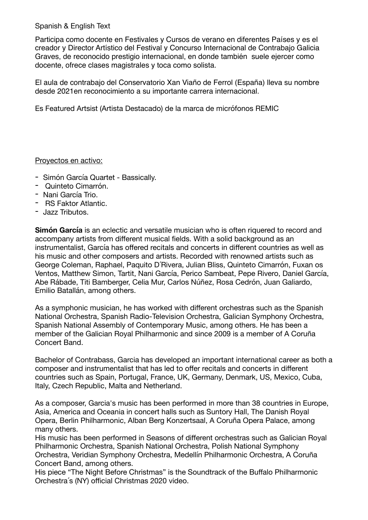## Spanish & English Text

Participa como docente en Festivales y Cursos de verano en diferentes Países y es el creador y Director Artístico del Festival y Concurso Internacional de Contrabajo Galicia Graves, de reconocido prestigio internacional, en donde también suele ejercer como docente, ofrece clases magistrales y toca como solista.

El aula de contrabajo del Conservatorio Xan Viaño de Ferrol (España) lleva su nombre desde 2021en reconocimiento a su importante carrera internacional.

Es Featured Artsist (Artista Destacado) de la marca de micrófonos REMIC

## Proyectos en activo:

- Simón García Quartet Bassically.
- Quinteto Cimarrón.
- Nani García Trio.
- RS Faktor Atlantic.
- Jazz Tributos.

**Simón García** is an eclectic and versatile musician who is often riquered to record and accompany artists from different musical fields. With a solid background as an instrumentalist, García has offered recitals and concerts in different countries as well as his music and other composers and artists. Recorded with renowned artists such as George Coleman, Raphael, Paquito D´Rivera, Julian Bliss, Quinteto Cimarrón, Fuxan os Ventos, Matthew Simon, Tartit, Nani García, Perico Sambeat, Pepe Rivero, Daniel García, Abe Rábade, Titi Bamberger, Celia Mur, Carlos Núñez, Rosa Cedrón, Juan Galiardo, Emilio Batallán, among others.

As a symphonic musician, he has worked with different orchestras such as the Spanish National Orchestra, Spanish Radio-Television Orchestra, Galician Symphony Orchestra, Spanish National Assembly of Contemporary Music, among others. He has been a member of the Galician Royal Philharmonic and since 2009 is a member of A Coruña Concert Band.

Bachelor of Contrabass, Garcia has developed an important international career as both a composer and instrumentalist that has led to offer recitals and concerts in different countries such as Spain, Portugal, France, UK, Germany, Denmark, US, Mexico, Cuba, Italy, Czech Republic, Malta and Netherland.

As a composer, Garcia's music has been performed in more than 38 countries in Europe, Asia, America and Oceania in concert halls such as Suntory Hall, The Danish Royal Opera, Berlin Philharmonic, Alban Berg Konzertsaal, A Coruña Opera Palace, among many others.

His music has been performed in Seasons of different orchestras such as Galician Royal Philharmonic Orchestra, Spanish National Orchestra, Polish National Symphony Orchestra, Veridian Symphony Orchestra, Medellín Philharmonic Orchestra, A Coruña Concert Band, among others.

His piece "The Night Before Christmas" is the Soundtrack of the Buffalo Philharmonic Orchestra´s (NY) official Christmas 2020 video.